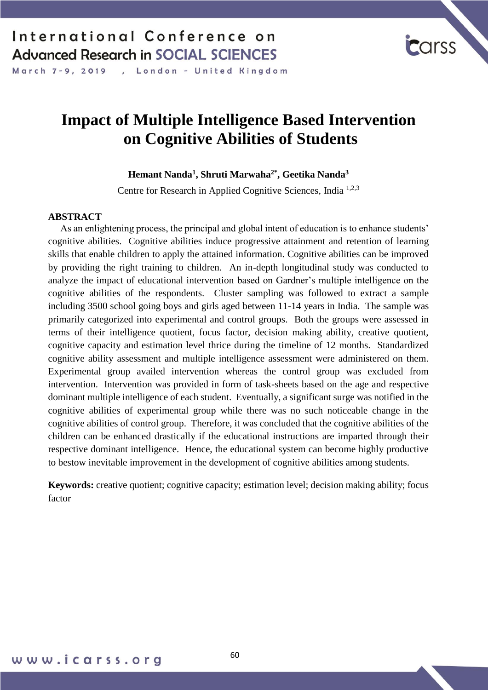, London - United Kingdom March 7-9, 2019

# **Impact of Multiple Intelligence Based Intervention on Cognitive Abilities of Students**

**Hemant Nanda<sup>1</sup> , Shruti Marwaha2\* , Geetika Nanda<sup>3</sup>**

Centre for Research in Applied Cognitive Sciences, India 1,2,3

#### **ABSTRACT**

 As an enlightening process, the principal and global intent of education is to enhance students' cognitive abilities. Cognitive abilities induce progressive attainment and retention of learning skills that enable children to apply the attained information. Cognitive abilities can be improved by providing the right training to children. An in-depth longitudinal study was conducted to analyze the impact of educational intervention based on Gardner's multiple intelligence on the cognitive abilities of the respondents. Cluster sampling was followed to extract a sample including 3500 school going boys and girls aged between 11-14 years in India. The sample was primarily categorized into experimental and control groups. Both the groups were assessed in terms of their intelligence quotient, focus factor, decision making ability, creative quotient, cognitive capacity and estimation level thrice during the timeline of 12 months. Standardized cognitive ability assessment and multiple intelligence assessment were administered on them. Experimental group availed intervention whereas the control group was excluded from intervention. Intervention was provided in form of task-sheets based on the age and respective dominant multiple intelligence of each student. Eventually, a significant surge was notified in the cognitive abilities of experimental group while there was no such noticeable change in the cognitive abilities of control group. Therefore, it was concluded that the cognitive abilities of the children can be enhanced drastically if the educational instructions are imparted through their respective dominant intelligence. Hence, the educational system can become highly productive to bestow inevitable improvement in the development of cognitive abilities among students.

**Keywords:** creative quotient; cognitive capacity; estimation level; decision making ability; focus factor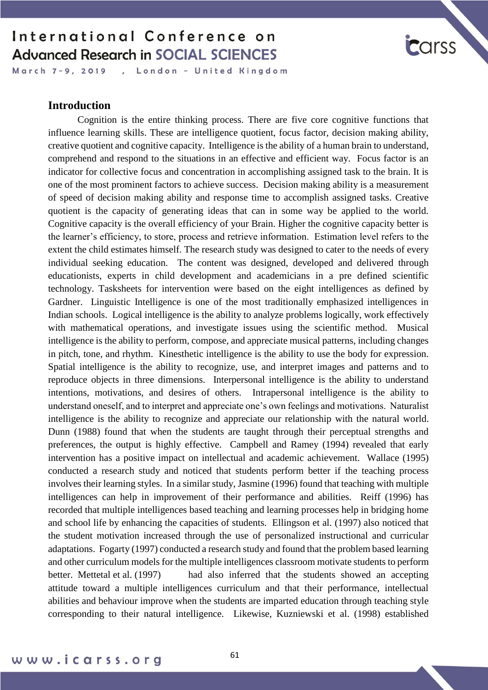March 7-9, 2019 , London - United Kingdom

# **carss**

#### **Introduction**

Cognition is the entire thinking process. There are five core cognitive functions that influence learning skills. These are intelligence quotient, focus factor, decision making ability, creative quotient and cognitive capacity. Intelligence is the ability of a human brain to understand, comprehend and respond to the situations in an effective and efficient way. Focus factor is an indicator for collective focus and concentration in accomplishing assigned task to the brain. It is one of the most prominent factors to achieve success. Decision making ability is a measurement of speed of decision making ability and response time to accomplish assigned tasks. Creative quotient is the capacity of generating ideas that can in some way be applied to the world. Cognitive capacity is the overall efficiency of your Brain. Higher the cognitive capacity better is the learner's efficiency, to store, process and retrieve information. Estimation level refers to the extent the child estimates himself. The research study was designed to cater to the needs of every individual seeking education. The content was designed, developed and delivered through educationists, experts in child development and academicians in a pre defined scientific technology. Tasksheets for intervention were based on the eight intelligences as defined by Gardner. Linguistic Intelligence is one of the most traditionally emphasized intelligences in Indian schools. Logical intelligence is the ability to analyze problems logically, work effectively with mathematical operations, and investigate issues using the scientific method. Musical intelligence is the ability to perform, compose, and appreciate musical patterns, including changes in pitch, tone, and rhythm. Kinesthetic intelligence is the ability to use the body for expression. Spatial intelligence is the ability to recognize, use, and interpret images and patterns and to reproduce objects in three dimensions. Interpersonal intelligence is the ability to understand intentions, motivations, and desires of others. Intrapersonal intelligence is the ability to understand oneself, and to interpret and appreciate one's own feelings and motivations. Naturalist intelligence is the ability to recognize and appreciate our relationship with the natural world. Dunn (1988) found that when the students are taught through their perceptual strengths and preferences, the output is highly effective. Campbell and Ramey (1994) revealed that early intervention has a positive impact on intellectual and academic achievement. Wallace (1995) conducted a research study and noticed that students perform better if the teaching process involves their learning styles. In a similar study, Jasmine (1996) found that teaching with multiple intelligences can help in improvement of their performance and abilities. Reiff (1996) has recorded that multiple intelligences based teaching and learning processes help in bridging home and school life by enhancing the capacities of students. Ellingson et al. (1997) also noticed that the student motivation increased through the use of personalized instructional and curricular adaptations. Fogarty (1997) conducted a research study and found that the problem based learning and other curriculum models for the multiple intelligences classroom motivate students to perform better. Mettetal et al. (1997) had also inferred that the students showed an accepting attitude toward a multiple intelligences curriculum and that their performance, intellectual abilities and behaviour improve when the students are imparted education through teaching style corresponding to their natural intelligence. Likewise, Kuzniewski et al. (1998) established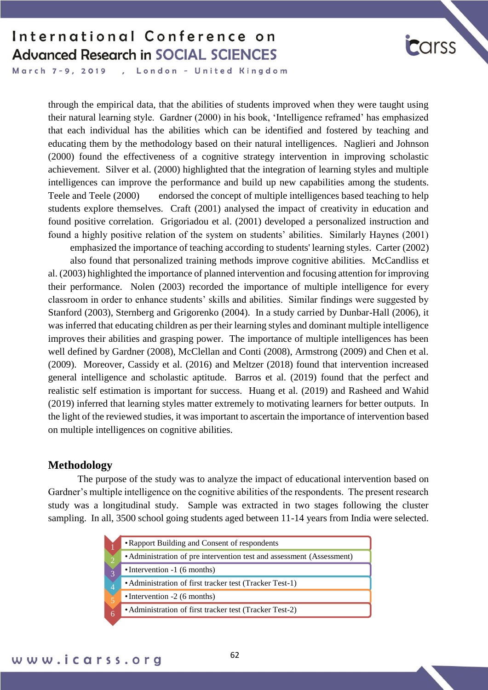

March 7-9, 2019 , London - United Kingdom

> through the empirical data, that the abilities of students improved when they were taught using their natural learning style. Gardner (2000) in his book, 'Intelligence reframed' has emphasized that each individual has the abilities which can be identified and fostered by teaching and educating them by the methodology based on their natural intelligences. Naglieri and Johnson (2000) found the effectiveness of a cognitive strategy intervention in improving scholastic achievement. Silver et al. (2000) highlighted that the integration of learning styles and multiple intelligences can improve the performance and build up new capabilities among the students. Teele and Teele (2000) endorsed the concept of multiple intelligences based teaching to help students explore themselves. Craft (2001) analysed the impact of creativity in education and found positive correlation. Grigoriadou et al. (2001) developed a personalized instruction and found a highly positive relation of the system on students' abilities. Similarly Haynes (2001)

> emphasized the importance of teaching according to students' learning styles. Carter (2002) also found that personalized training methods improve cognitive abilities. McCandliss et al. (2003) highlighted the importance of planned intervention and focusing attention for improving their performance. Nolen (2003) recorded the importance of multiple intelligence for every classroom in order to enhance students' skills and abilities. Similar findings were suggested by Stanford (2003), Sternberg and Grigorenko (2004). In a study carried by Dunbar-Hall (2006), it was inferred that educating children as per their learning styles and dominant multiple intelligence improves their abilities and grasping power. The importance of multiple intelligences has been well defined by Gardner (2008), McClellan and Conti (2008), Armstrong (2009) and Chen et al. (2009). Moreover, Cassidy et al. (2016) and Meltzer (2018) found that intervention increased general intelligence and scholastic aptitude. Barros et al. (2019) found that the perfect and realistic self estimation is important for success. Huang et al. (2019) and Rasheed and Wahid (2019) inferred that learning styles matter extremely to motivating learners for better outputs. In the light of the reviewed studies, it was important to ascertain the importance of intervention based on multiple intelligences on cognitive abilities.

#### **Methodology**

The purpose of the study was to analyze the impact of educational intervention based on Gardner's multiple intelligence on the cognitive abilities of the respondents. The present research study was a longitudinal study. Sample was extracted in two stages following the cluster sampling. In all, 3500 school going students aged between 11-14 years from India were selected.

| • Rapport Building and Consent of respondents                         |  |  |  |  |  |  |  |  |  |
|-----------------------------------------------------------------------|--|--|--|--|--|--|--|--|--|
| • Administration of pre intervention test and assessment (Assessment) |  |  |  |  |  |  |  |  |  |
| • Intervention -1 (6 months)                                          |  |  |  |  |  |  |  |  |  |
| • Administration of first tracker test (Tracker Test-1)               |  |  |  |  |  |  |  |  |  |
| $\bullet$ Intervention -2 (6 months)                                  |  |  |  |  |  |  |  |  |  |
| • Administration of first tracker test (Tracker Test-2)               |  |  |  |  |  |  |  |  |  |
|                                                                       |  |  |  |  |  |  |  |  |  |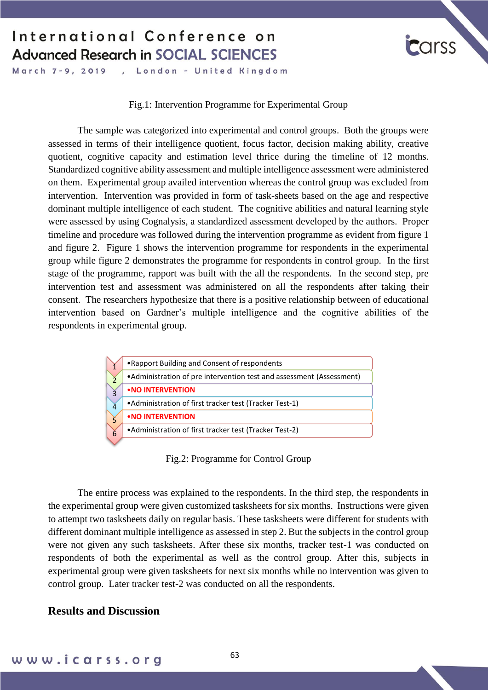

#### Fig.1: Intervention Programme for Experimental Group

The sample was categorized into experimental and control groups. Both the groups were assessed in terms of their intelligence quotient, focus factor, decision making ability, creative quotient, cognitive capacity and estimation level thrice during the timeline of 12 months. Standardized cognitive ability assessment and multiple intelligence assessment were administered on them. Experimental group availed intervention whereas the control group was excluded from intervention. Intervention was provided in form of task-sheets based on the age and respective dominant multiple intelligence of each student. The cognitive abilities and natural learning style were assessed by using Cognalysis, a standardized assessment developed by the authors. Proper timeline and procedure was followed during the intervention programme as evident from figure 1 and figure 2. Figure 1 shows the intervention programme for respondents in the experimental group while figure 2 demonstrates the programme for respondents in control group. In the first stage of the programme, rapport was built with the all the respondents. In the second step, pre intervention test and assessment was administered on all the respondents after taking their consent. The researchers hypothesize that there is a positive relationship between of educational intervention based on Gardner's multiple intelligence and the cognitive abilities of the respondents in experimental group.



Fig.2: Programme for Control Group

The entire process was explained to the respondents. In the third step, the respondents in the experimental group were given customized tasksheets for six months. Instructions were given to attempt two tasksheets daily on regular basis. These tasksheets were different for students with different dominant multiple intelligence as assessed in step 2. But the subjects in the control group were not given any such tasksheets. After these six months, tracker test-1 was conducted on respondents of both the experimental as well as the control group. After this, subjects in experimental group were given tasksheets for next six months while no intervention was given to control group. Later tracker test-2 was conducted on all the respondents.

#### **Results and Discussion**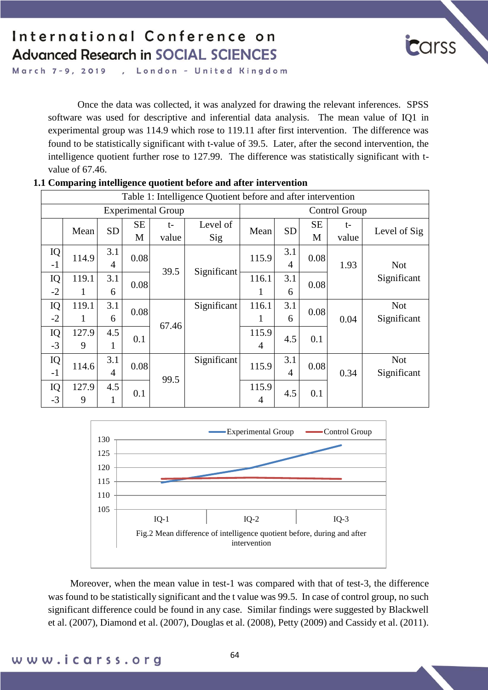

London - United Kingdom March 7-9, 2019 s.

> Once the data was collected, it was analyzed for drawing the relevant inferences. SPSS software was used for descriptive and inferential data analysis. The mean value of IQ1 in experimental group was 114.9 which rose to 119.11 after first intervention. The difference was found to be statistically significant with t-value of 39.5. Later, after the second intervention, the intelligence quotient further rose to 127.99. The difference was statistically significant with tvalue of 67.46.

|            | Table 1: Intelligence Quotient before and after intervention |           |                |                           |                 |                         |           |                |               |                           |  |  |  |  |
|------------|--------------------------------------------------------------|-----------|----------------|---------------------------|-----------------|-------------------------|-----------|----------------|---------------|---------------------------|--|--|--|--|
|            |                                                              |           |                | <b>Experimental Group</b> |                 | Control Group           |           |                |               |                           |  |  |  |  |
|            | Mean                                                         | <b>SD</b> | <b>SE</b><br>M | $t-$<br>value             | Level of<br>Sig | Mean                    | <b>SD</b> | <b>SE</b><br>M | $t-$<br>value | Level of Sig              |  |  |  |  |
| IQ<br>$-1$ | 114.9                                                        | 3.1<br>4  | 0.08           | 39.5                      | Significant     | 115.9                   | 3.1<br>4  | 0.08           | 1.93          | <b>Not</b>                |  |  |  |  |
| IQ<br>$-2$ | 119.1<br>1                                                   | 3.1<br>6  | 0.08           |                           |                 | 116.1<br>1              | 3.1<br>6  | 0.08           |               | Significant               |  |  |  |  |
| IQ<br>$-2$ | 119.1<br>1                                                   | 3.1<br>6  | 0.08           | 67.46                     | Significant     | 116.1<br>1              | 3.1<br>6  | 0.08           | 0.04          | <b>Not</b><br>Significant |  |  |  |  |
| IQ<br>$-3$ | 127.9<br>9                                                   | 4.5<br>1  | 0.1            |                           |                 | 115.9<br>$\overline{4}$ | 4.5       | 0.1            |               |                           |  |  |  |  |
| IQ<br>$-1$ | 114.6                                                        | 3.1<br>4  | 0.08           | 99.5                      | Significant     | 115.9                   | 3.1<br>4  | 0.08           | 0.34          | <b>Not</b><br>Significant |  |  |  |  |
| IQ<br>$-3$ | 127.9<br>9                                                   | 4.5<br>1  | 0.1            |                           |                 | 115.9<br>4              | 4.5       | 0.1            |               |                           |  |  |  |  |

#### **1.1 Comparing intelligence quotient before and after intervention**



Moreover, when the mean value in test-1 was compared with that of test-3, the difference was found to be statistically significant and the t value was 99.5. In case of control group, no such significant difference could be found in any case. Similar findings were suggested by Blackwell et al. (2007), Diamond et al. (2007), Douglas et al. (2008), Petty (2009) and Cassidy et al. (2011).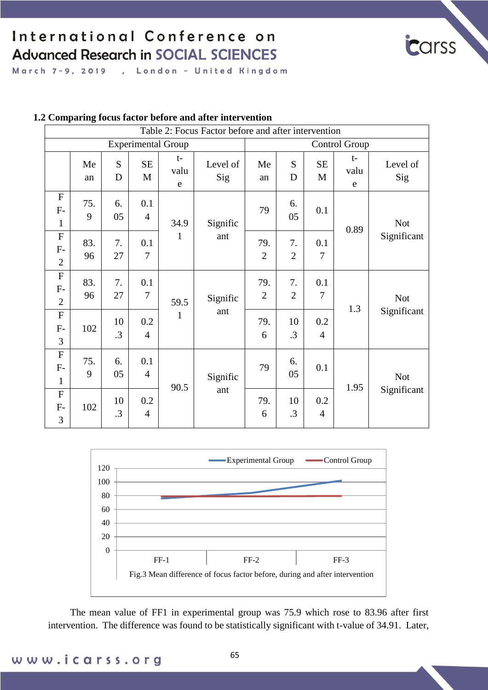

March 7-9, 2019 , London - United Kingdom

|                                                     |           |                 |                       |                           | Table 2: Focus Factor before and after intervention |                       |                      |                       |                   |                           |
|-----------------------------------------------------|-----------|-----------------|-----------------------|---------------------------|-----------------------------------------------------|-----------------------|----------------------|-----------------------|-------------------|---------------------------|
|                                                     |           |                 |                       | <b>Experimental Group</b> |                                                     | <b>Control Group</b>  |                      |                       |                   |                           |
|                                                     | Me<br>an  | S<br>D          | SE<br>M               | t-<br>valu<br>$\mathbf e$ | Level of<br>Sig                                     | Me<br>an              | S<br>D               | SE<br>M               | $t-$<br>valu<br>e | Level of<br>Sig           |
| $\mathbf{F}$<br>$F-$<br>$\mathbf{1}$                | 75.<br>9  | 6.<br>05        | 0.1<br>$\overline{4}$ | 34.9                      | Signific                                            | 79                    | 6.<br>05             | 0.1                   | 0.89              | <b>Not</b>                |
| $\boldsymbol{\mathrm{F}}$<br>$F-$<br>$\overline{2}$ | 83.<br>96 | 7.<br>27        | 0.1<br>$\overline{7}$ | 1                         | ant                                                 | 79.<br>$\overline{2}$ | 7.<br>$\overline{2}$ | 0.1<br>7              |                   | Significant               |
| $\boldsymbol{\mathrm{F}}$<br>$F-$<br>$\overline{2}$ | 83.<br>96 | 7.<br>27        | 0.1<br>$\overline{7}$ | 59.5                      | Signific                                            | 79.<br>$\overline{2}$ | 7.<br>$\overline{2}$ | 0.1<br>$\overline{7}$ | 1.3               | <b>Not</b>                |
| $\boldsymbol{\mathrm{F}}$<br>$F-$<br>3              | 102       | 10<br>$\cdot$ 3 | 0.2<br>$\overline{4}$ | $\mathbf{1}$              | ant                                                 | 79.<br>6              | 10<br>$\cdot$ 3      | 0.2<br>$\overline{4}$ |                   | Significant               |
| ${\bf F}$<br>$F-$<br>$\mathbf{1}$                   | 75.<br>9  | 6.<br>05        | 0.1<br>$\overline{4}$ | 90.5                      | Signific                                            | 79                    | 6.<br>05             | 0.1                   | 1.95              | <b>Not</b><br>Significant |
| $\mathbf F$<br>$F-$<br>3                            | 102       | 10<br>.3        | 0.2<br>$\overline{4}$ |                           | ant                                                 | 79.<br>6              | 10<br>$\cdot$ 3      | 0.2<br>$\overline{4}$ |                   |                           |

#### **1.2 Comparing focus factor before and after intervention**



The mean value of FF1 in experimental group was 75.9 which rose to 83.96 after first intervention. The difference was found to be statistically significant with t-value of 34.91. Later,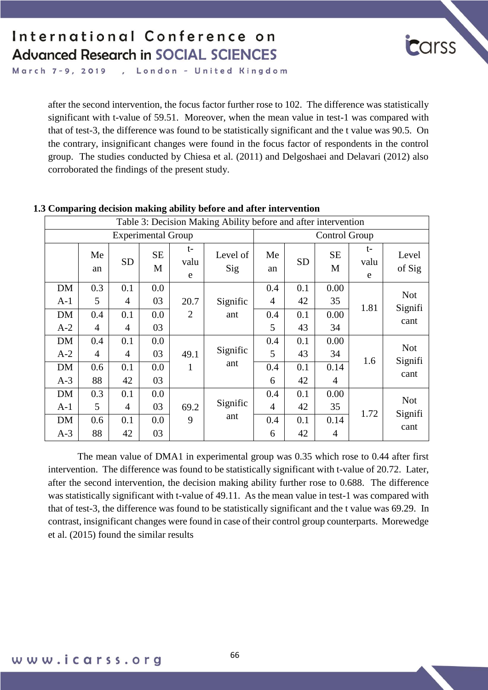

March 7-9, 2019 , London - United Kingdom

> after the second intervention, the focus factor further rose to 102. The difference was statistically significant with t-value of 59.51. Moreover, when the mean value in test-1 was compared with that of test-3, the difference was found to be statistically significant and the t value was 90.5. On the contrary, insignificant changes were found in the focus factor of respondents in the control group. The studies conducted by Chiesa et al. (2011) and Delgoshaei and Delavari (2012) also corroborated the findings of the present study.

|           |                |                |                           |                 | Table 3: Decision Making Ability before and after intervention |                |           |                |                   |                 |  |
|-----------|----------------|----------------|---------------------------|-----------------|----------------------------------------------------------------|----------------|-----------|----------------|-------------------|-----------------|--|
|           |                |                | <b>Experimental Group</b> |                 |                                                                | Control Group  |           |                |                   |                 |  |
|           | Me<br>an       | <b>SD</b>      | <b>SE</b><br>M            | t-<br>valu<br>e | Level of<br>Sig                                                | Me<br>an       | <b>SD</b> | <b>SE</b><br>M | $t-$<br>valu<br>e | Level<br>of Sig |  |
| DM        | 0.3            | 0.1            | 0.0                       |                 |                                                                | 0.4            | 0.1       | 0.00           |                   | <b>Not</b>      |  |
| $A-1$     | 5              | 4              | 03                        | 20.7            | Signific                                                       | 4              | 42        | 35             | 1.81              | Signifi         |  |
| DM        | 0.4            | 0.1            | 0.0                       | $\overline{2}$  | ant                                                            | 0.4            | 0.1       | 0.00           |                   | cant            |  |
| $A-2$     | 4              | 4              | 03                        |                 |                                                                | 5              | 43        | 34             |                   |                 |  |
| DM        | 0.4            | 0.1            | 0.0                       |                 |                                                                | 0.4            | 0.1       | 0.00           |                   |                 |  |
| $A-2$     | $\overline{4}$ | $\overline{4}$ | 03                        | 49.1            | Signific                                                       | 5              | 43        | 34             |                   | <b>Not</b>      |  |
| DM        | 0.6            | 0.1            | 0.0                       | $\mathbf{1}$    | ant                                                            | 0.4            | 0.1       | 0.14           | 1.6               | Signifi         |  |
| $A-3$     | 88             | 42             | 03                        |                 |                                                                | 6              | 42        | 4              |                   | cant            |  |
| DM        | 0.3            | 0.1            | 0.0                       |                 |                                                                | 0.4            | 0.1       | 0.00           |                   |                 |  |
| $A-1$     | 5              | $\overline{4}$ | 03                        | 69.2            | Signific                                                       | $\overline{4}$ | 42        | 35             | 1.72              | <b>Not</b>      |  |
| <b>DM</b> | 0.6            | 0.1            | 0.0                       | 9               | ant                                                            | 0.4            | 0.1       | 0.14           |                   | Signifi         |  |
| $A-3$     | 88             | 42             | 03                        |                 |                                                                | 6              | 42        | 4              |                   | cant            |  |

#### **1.3 Comparing decision making ability before and after intervention**

The mean value of DMA1 in experimental group was 0.35 which rose to 0.44 after first intervention. The difference was found to be statistically significant with t-value of 20.72. Later, after the second intervention, the decision making ability further rose to 0.688. The difference was statistically significant with t-value of 49.11. As the mean value in test-1 was compared with that of test-3, the difference was found to be statistically significant and the t value was 69.29. In contrast, insignificant changes were found in case of their control group counterparts. Morewedge et al. (2015) found the similar results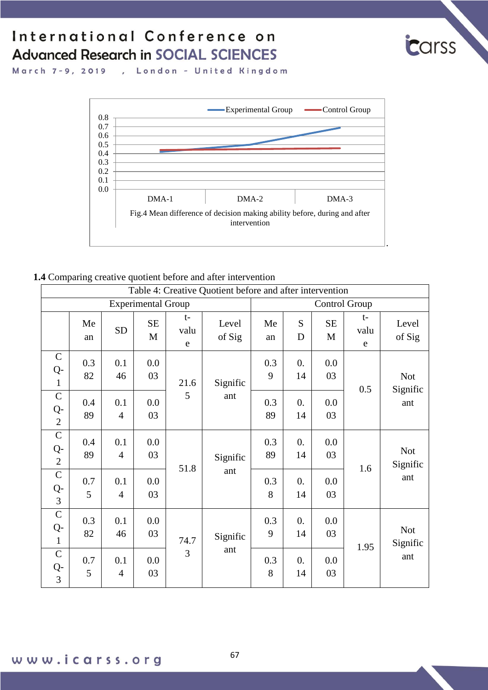

March 7-9, 2019 , London - United Kingdom



#### **1.4** Comparing creative quotient before and after intervention

|                                     |           |                       |                           |                   | Table 4: Creative Quotient before and after intervention |           |                        |           |                             |                               |
|-------------------------------------|-----------|-----------------------|---------------------------|-------------------|----------------------------------------------------------|-----------|------------------------|-----------|-----------------------------|-------------------------------|
|                                     |           |                       | <b>Experimental Group</b> |                   |                                                          |           |                        |           | Control Group               |                               |
|                                     | Me<br>an  | <b>SD</b>             | <b>SE</b><br>M            | $t-$<br>valu<br>e | Level<br>of Sig                                          | Me<br>an  | S<br>D                 | SE<br>M   | $t-$<br>valu<br>$\mathbf e$ | Level<br>of Sig               |
| $\mathbf C$<br>Q-<br>$\mathbf{1}$   | 0.3<br>82 | 0.1<br>46             | 0.0<br>03                 | 21.6              | Signific                                                 | 0.3<br>9  | 0.<br>14               | 0.0<br>03 | 0.5                         | <b>Not</b><br>Signific        |
| $\mathsf{C}$<br>Q-<br>$\mathbf{2}$  | 0.4<br>89 | 0.1<br>$\overline{4}$ | 0.0<br>03                 | 5                 | ant                                                      | 0.3<br>89 | $\overline{0}$ .<br>14 | 0.0<br>03 |                             | ant                           |
| $\mathbf C$<br>Q-<br>$\overline{2}$ | 0.4<br>89 | 0.1<br>$\overline{4}$ | 0.0<br>03                 | 51.8              | Signific<br>ant                                          | 0.3<br>89 | 0.<br>14               | 0.0<br>03 | 1.6                         | Not<br>Signific<br>ant        |
| $\mathsf{C}$<br>$Q-$<br>3           | 0.7<br>5  | 0.1<br>$\overline{4}$ | 0.0<br>03                 |                   |                                                          | 0.3<br>8  | 0.<br>14               | 0.0<br>03 |                             |                               |
| $\mathsf{C}$<br>Q-<br>$\mathbf{1}$  | 0.3<br>82 | 0.1<br>46             | 0.0<br>03                 | 74.7              | Signific                                                 | 0.3<br>9  | 0.<br>14               | 0.0<br>03 |                             | <b>Not</b><br>Signific<br>ant |
| $\mathcal{C}$<br>$Q-$<br>3          | 0.7<br>5  | 0.1<br>$\overline{4}$ | 0.0<br>03                 | 3                 | ant                                                      | 0.3<br>8  | 0.<br>14               | 0.0<br>03 | 1.95                        |                               |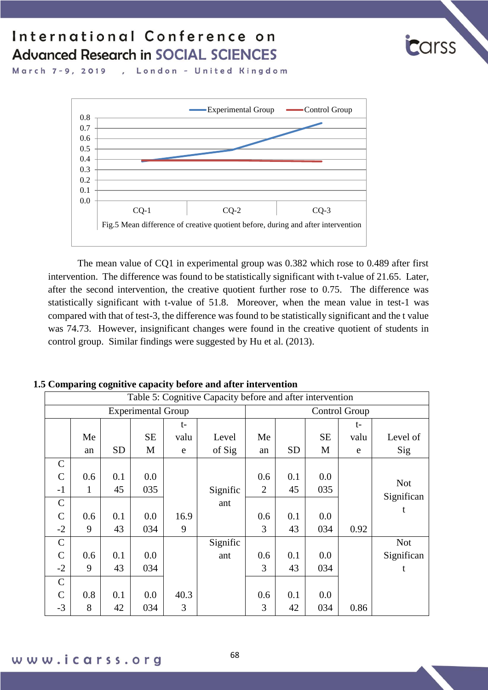

, London - United Kingdom March 7-9, 2019



The mean value of CQ1 in experimental group was 0.382 which rose to 0.489 after first intervention. The difference was found to be statistically significant with t-value of 21.65. Later, after the second intervention, the creative quotient further rose to 0.75. The difference was statistically significant with t-value of 51.8. Moreover, when the mean value in test-1 was compared with that of test-3, the difference was found to be statistically significant and the t value was 74.73. However, insignificant changes were found in the creative quotient of students in control group. Similar findings were suggested by Hu et al. (2013).

|               | Table 5: Cognitive Capacity before and after intervention |           |                           |      |          |                |           |           |      |            |  |  |  |  |
|---------------|-----------------------------------------------------------|-----------|---------------------------|------|----------|----------------|-----------|-----------|------|------------|--|--|--|--|
|               |                                                           |           | <b>Experimental Group</b> |      |          | Control Group  |           |           |      |            |  |  |  |  |
|               |                                                           |           |                           | $t-$ |          |                |           |           | t-   |            |  |  |  |  |
|               | Me                                                        |           | <b>SE</b>                 | valu | Level    | Me             |           | <b>SE</b> | valu | Level of   |  |  |  |  |
|               | an                                                        | <b>SD</b> | M                         | e    | of Sig   | an             | <b>SD</b> | М         | e    | Sig        |  |  |  |  |
| $\mathsf{C}$  |                                                           |           |                           |      |          |                |           |           |      |            |  |  |  |  |
| $\mathcal{C}$ | 0.6                                                       | 0.1       | 0.0                       |      |          | 0.6            | 0.1       | 0.0       |      | <b>Not</b> |  |  |  |  |
| $-1$          | 1                                                         | 45        | 035                       |      | Signific | $\overline{2}$ | 45        | 035       |      | Significan |  |  |  |  |
| $\mathbf C$   |                                                           |           |                           |      | ant      |                |           |           |      |            |  |  |  |  |
| $\mathcal{C}$ | 0.6                                                       | 0.1       | 0.0                       | 16.9 |          | 0.6            | 0.1       | 0.0       |      | t          |  |  |  |  |
| $-2$          | 9                                                         | 43        | 034                       | 9    |          | 3              | 43        | 034       | 0.92 |            |  |  |  |  |
| $\mathcal{C}$ |                                                           |           |                           |      | Signific |                |           |           |      | <b>Not</b> |  |  |  |  |
| $\mathcal{C}$ | 0.6                                                       | 0.1       | 0.0                       |      | ant      | 0.6            | 0.1       | 0.0       |      | Significan |  |  |  |  |
| $-2$          | 9                                                         | 43        | 034                       |      |          | 3              | 43        | 034       |      | t          |  |  |  |  |
| $\mathbf C$   |                                                           |           |                           |      |          |                |           |           |      |            |  |  |  |  |
| $\mathcal{C}$ | 0.8                                                       | 0.1       | 0.0                       | 40.3 |          | 0.6            | 0.1       | $0.0\,$   |      |            |  |  |  |  |
| $-3$          | 8                                                         | 42        | 034                       | 3    |          | 3              | 42        | 034       | 0.86 |            |  |  |  |  |

#### **1.5 Comparing cognitive capacity before and after intervention**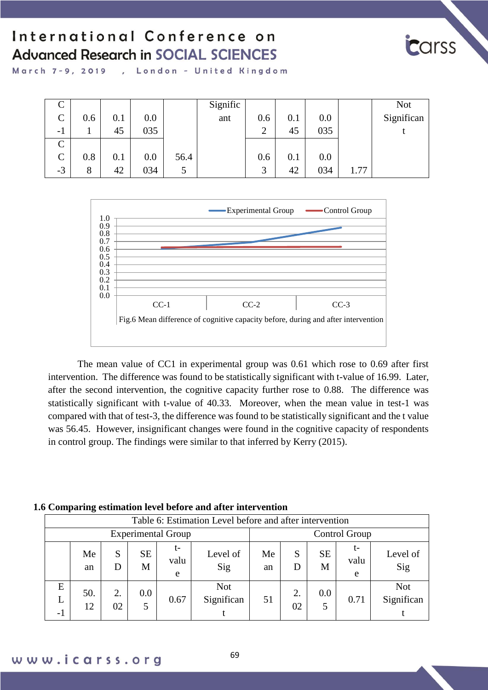

March 7-9, 2019 , London - United Kingdom

| ◡             |     |     |     |      | Signific |        |     |     |      | <b>Not</b> |
|---------------|-----|-----|-----|------|----------|--------|-----|-----|------|------------|
| $\mathcal{C}$ | 0.6 | 0.1 | 0.0 |      | ant      | 0.6    | 0.1 | 0.0 |      | Significan |
| $-1$          |     | 45  | 035 |      |          | ◠<br>∠ | 45  | 035 |      |            |
| $\mathsf{C}$  |     |     |     |      |          |        |     |     |      |            |
| $\mathsf{C}$  | 0.8 | 0.1 | 0.0 | 56.4 |          | 0.6    | 0.1 | 0.0 |      |            |
| $-3$          | 8   | 42  | 034 |      |          | ⌒      | 42  | 034 | 1.77 |            |



The mean value of CC1 in experimental group was 0.61 which rose to 0.69 after first intervention. The difference was found to be statistically significant with t-value of 16.99. Later, after the second intervention, the cognitive capacity further rose to 0.88. The difference was statistically significant with t-value of 40.33. Moreover, when the mean value in test-1 was compared with that of test-3, the difference was found to be statistically significant and the t value was 56.45. However, insignificant changes were found in the cognitive capacity of respondents in control group. The findings were similar to that inferred by Kerry (2015).

#### **1.6 Comparing estimation level before and after intervention**

|                           |           |          |                |                 | Table 6: Estimation Level before and after intervention |          |               |                |                 |                          |
|---------------------------|-----------|----------|----------------|-----------------|---------------------------------------------------------|----------|---------------|----------------|-----------------|--------------------------|
| <b>Experimental Group</b> |           |          |                |                 |                                                         |          | Control Group |                |                 |                          |
|                           | Me<br>an  | S<br>D   | <b>SE</b><br>M | t-<br>valu<br>e | Level of<br>Sig                                         | Me<br>an | S<br>D        | <b>SE</b><br>M | t-<br>valu<br>e | Level of<br>Sig          |
| E<br>L<br>$-1$            | 50.<br>12 | 2.<br>02 | 0.0<br>5       | 0.67            | <b>Not</b><br>Significan                                | 51       | 2.<br>02      | 0.0<br>5       | 0.71            | <b>Not</b><br>Significan |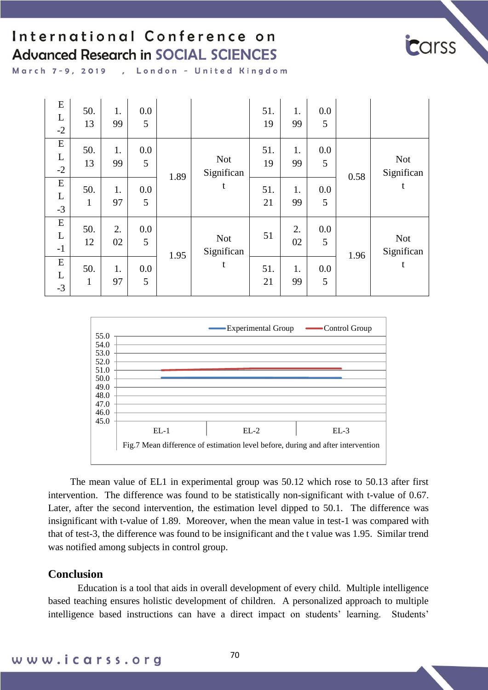

March 7-9, 2019 , London - United Kingdom

| E<br>L<br>$-2$         | 50.<br>13           | 1.<br>99 | 0.0<br>5 |      |                          | 51.<br>19 | 1.<br>99 | 0.0<br>5 |      |                          |
|------------------------|---------------------|----------|----------|------|--------------------------|-----------|----------|----------|------|--------------------------|
| ${\bf E}$<br>L<br>$-2$ | 50.<br>13           | 1.<br>99 | 0.0<br>5 | 1.89 | <b>Not</b><br>Significan | 51.<br>19 | 1.<br>99 | 0.0<br>5 | 0.58 | <b>Not</b><br>Significan |
| E<br>L<br>$-3$         | 50.<br>1            | 1.<br>97 | 0.0<br>5 |      | t                        | 51.<br>21 | 1.<br>99 | 0.0<br>5 |      | t                        |
| ${\bf E}$<br>L<br>$-1$ | 50.<br>12           | 2.<br>02 | 0.0<br>5 |      | <b>Not</b><br>Significan | 51        | 2.<br>02 | 0.0<br>5 | 1.96 | <b>Not</b><br>Significan |
| ${\bf E}$<br>L<br>$-3$ | 50.<br>$\mathbf{1}$ | 1.<br>97 | 0.0<br>5 | 1.95 | t                        | 51.<br>21 | 1.<br>99 | 0.0<br>5 |      | t                        |



The mean value of EL1 in experimental group was 50.12 which rose to 50.13 after first intervention. The difference was found to be statistically non-significant with t-value of 0.67. Later, after the second intervention, the estimation level dipped to 50.1. The difference was insignificant with t-value of 1.89. Moreover, when the mean value in test-1 was compared with that of test-3, the difference was found to be insignificant and the t value was 1.95. Similar trend was notified among subjects in control group.

#### **Conclusion**

Education is a tool that aids in overall development of every child. Multiple intelligence based teaching ensures holistic development of children. A personalized approach to multiple intelligence based instructions can have a direct impact on students' learning. Students'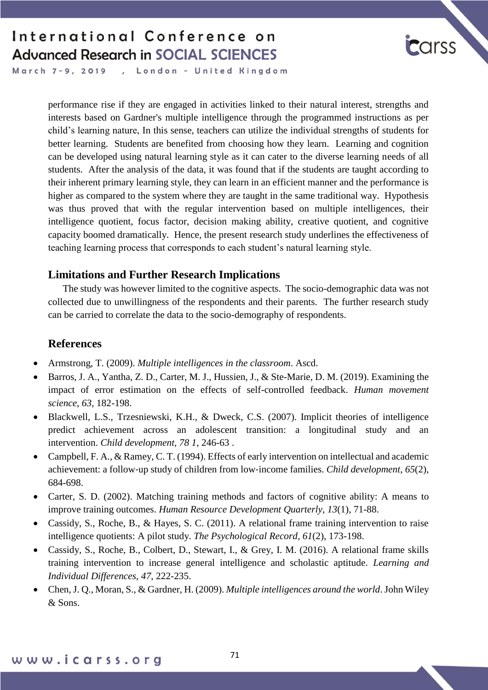

March 7-9, 2019 , London - United Kingdom

> performance rise if they are engaged in activities linked to their natural interest, strengths and interests based on Gardner's multiple intelligence through the programmed instructions as per child's learning nature, In this sense, teachers can utilize the individual strengths of students for better learning. Students are benefited from choosing how they learn. Learning and cognition can be developed using natural learning style as it can cater to the diverse learning needs of all students. After the analysis of the data, it was found that if the students are taught according to their inherent primary learning style, they can learn in an efficient manner and the performance is higher as compared to the system where they are taught in the same traditional way. Hypothesis was thus proved that with the regular intervention based on multiple intelligences, their intelligence quotient, focus factor, decision making ability, creative quotient, and cognitive capacity boomed dramatically. Hence, the present research study underlines the effectiveness of teaching learning process that corresponds to each student's natural learning style.

#### **Limitations and Further Research Implications**

The study was however limited to the cognitive aspects. The socio-demographic data was not collected due to unwillingness of the respondents and their parents. The further research study can be carried to correlate the data to the socio-demography of respondents.

#### **References**

- Armstrong, T. (2009). *Multiple intelligences in the classroom*. Ascd.
- Barros, J. A., Yantha, Z. D., Carter, M. J., Hussien, J., & Ste-Marie, D. M. (2019). Examining the impact of error estimation on the effects of self-controlled feedback. *Human movement science*, *63*, 182-198.
- Blackwell, L.S., Trzesniewski, K.H., & Dweck, C.S. (2007). Implicit theories of intelligence predict achievement across an adolescent transition: a longitudinal study and an intervention. *Child development, 78 1*, 246-63 .
- Campbell, F. A., & Ramey, C. T. (1994). Effects of early intervention on intellectual and academic achievement: a follow‐up study of children from low‐income families. *Child development*, *65*(2), 684-698.
- Carter, S. D. (2002). Matching training methods and factors of cognitive ability: A means to improve training outcomes. *Human Resource Development Quarterly*, *13*(1), 71-88.
- Cassidy, S., Roche, B., & Hayes, S. C. (2011). A relational frame training intervention to raise intelligence quotients: A pilot study. *The Psychological Record*, *61*(2), 173-198.
- Cassidy, S., Roche, B., Colbert, D., Stewart, I., & Grey, I. M. (2016). A relational frame skills training intervention to increase general intelligence and scholastic aptitude. *Learning and Individual Differences*, *47*, 222-235.
- Chen, J. Q., Moran, S., & Gardner, H. (2009). *Multiple intelligences around the world*. John Wiley & Sons.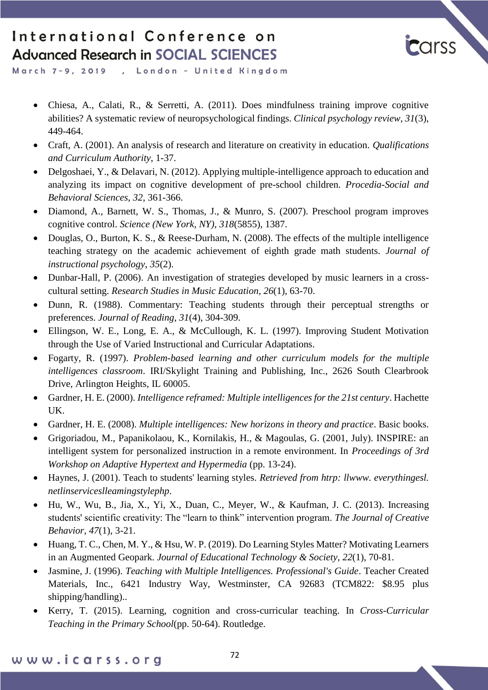

March 7-9, 2019 , London - United Kingdom

- Chiesa, A., Calati, R., & Serretti, A. (2011). Does mindfulness training improve cognitive abilities? A systematic review of neuropsychological findings. *Clinical psychology review*, *31*(3), 449-464.
- Craft, A. (2001). An analysis of research and literature on creativity in education. *Qualifications and Curriculum Authority*, 1-37.
- Delgoshaei, Y., & Delavari, N. (2012). Applying multiple-intelligence approach to education and analyzing its impact on cognitive development of pre-school children. *Procedia-Social and Behavioral Sciences*, *32*, 361-366.
- Diamond, A., Barnett, W. S., Thomas, J., & Munro, S. (2007). Preschool program improves cognitive control. *Science (New York, NY)*, *318*(5855), 1387.
- Douglas, O., Burton, K. S., & Reese-Durham, N. (2008). The effects of the multiple intelligence teaching strategy on the academic achievement of eighth grade math students. *Journal of instructional psychology*, *35*(2).
- Dunbar-Hall, P. (2006). An investigation of strategies developed by music learners in a crosscultural setting. *Research Studies in Music Education*, *26*(1), 63-70.
- Dunn, R. (1988). Commentary: Teaching students through their perceptual strengths or preferences. *Journal of Reading*, *31*(4), 304-309.
- Ellingson, W. E., Long, E. A., & McCullough, K. L. (1997). Improving Student Motivation through the Use of Varied Instructional and Curricular Adaptations.
- Fogarty, R. (1997). *Problem-based learning and other curriculum models for the multiple intelligences classroom*. IRI/Skylight Training and Publishing, Inc., 2626 South Clearbrook Drive, Arlington Heights, IL 60005.
- Gardner, H. E. (2000). *Intelligence reframed: Multiple intelligences for the 21st century*. Hachette UK.
- Gardner, H. E. (2008). *Multiple intelligences: New horizons in theory and practice*. Basic books.
- Grigoriadou, M., Papanikolaou, K., Kornilakis, H., & Magoulas, G. (2001, July). INSPIRE: an intelligent system for personalized instruction in a remote environment. In *Proceedings of 3rd Workshop on Adaptive Hypertext and Hypermedia* (pp. 13-24).
- Haynes, J. (2001). Teach to students' learning styles. *Retrieved from htrp: llwww. everythingesl. netlinserviceslleamingstylephp*.
- Hu, W., Wu, B., Jia, X., Yi, X., Duan, C., Meyer, W., & Kaufman, J. C. (2013). Increasing students' scientific creativity: The "learn to think" intervention program. *The Journal of Creative Behavior*, *47*(1), 3-21.
- Huang, T. C., Chen, M. Y., & Hsu, W. P. (2019). Do Learning Styles Matter? Motivating Learners in an Augmented Geopark. *Journal of Educational Technology & Society*, *22*(1), 70-81.
- Jasmine, J. (1996). *Teaching with Multiple Intelligences. Professional's Guide*. Teacher Created Materials, Inc., 6421 Industry Way, Westminster, CA 92683 (TCM822: \$8.95 plus shipping/handling)..
- Kerry, T. (2015). Learning, cognition and cross-curricular teaching. In *Cross-Curricular Teaching in the Primary School*(pp. 50-64). Routledge.